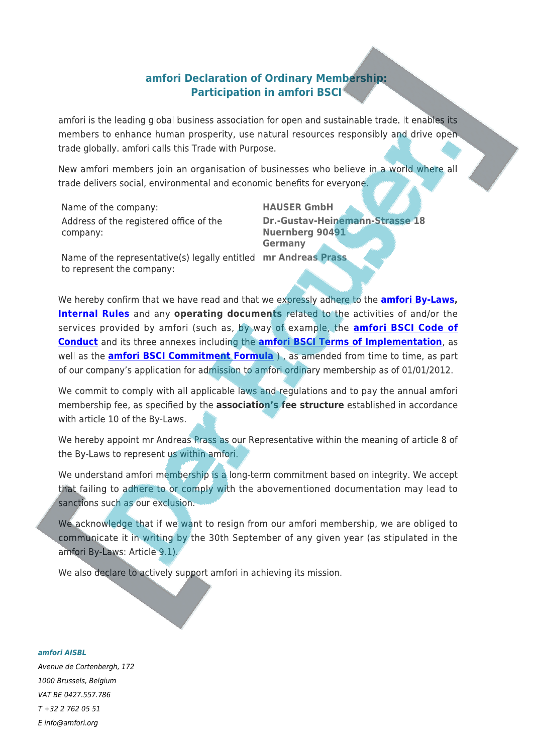# **amfori Declaration of Ordinary Membership: Participation in amfori BSCI**

amfori is the leading global business association for open and sustainable trade. It enables its members to enhance human prosperity, use natural resources responsibly and drive open. trade globally, amfori calls this Trade with Purpose.

New amfori members join an organisation of businesses who believe in a world where all trade delivers social, environmental and economic benefits for everyone.

Name of the company: Address of the registered office of the company:

**HAUSER GmbH Dr.-Gustav-Heinemann-Strasse 18 Nuernberg 90491 Germany**

Name of the representative(s) legally entitled mr Andreas Prass to represent the company:

We hereby confirm that we have read and that we expressly adhere to the **amfori By-Laws, Internal Rules** and any **operating documents** related to the activities of and/or the services provided by amfori (such as, by way of example, the **amfori BSCI Code of Conduct** and its three annexes including the **amfori BSCI Terms of Implementation**, as well as the **amfori BSCI Commitment Formula** ), as amended from time to time, as part of our company's application for admission to amfori ordinary membership as of 01/01/2012.

We commit to comply with all applicable laws and regulations and to pay the annual amfori membership fee, as specified by the **association's fee structure** established in accordance with article 10 of the By-Laws.

We hereby appoint mr Andreas Prass as our Representative within the meaning of article 8 of the By-Laws to represent us within amfori.

We understand amfori membership is a long-term commitment based on integrity. We accept that failing to adhere to or comply with the abovementioned documentation may lead to sanctions such as our exclusion.

We acknowledge that if we want to resign from our amfori membership, we are obliged to communicate it in writing by the 30th September of any given year (as stipulated in the amfori By-Laws: Article 9.1).

We also declare to actively support amfori in achieving its mission.

### *amfori AISBL*

*Avenue de Cortenbergh, 172 1000 Brussels, Belgium VAT BE 0427.557.786 T +32 2 762 05 51 E info@amfori.org*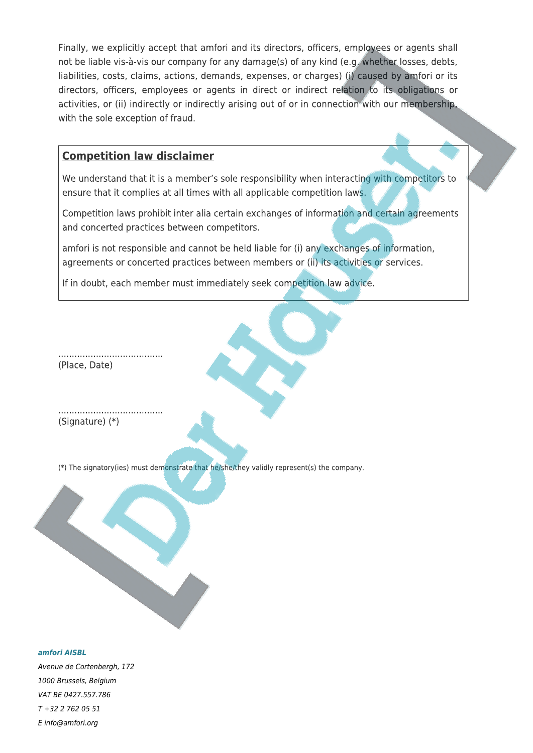Finally, we explicitly accept that amfori and its directors, officers, employees or agents shall not be liable vis-à-vis our company for any damage(s) of any kind (e.g. whether losses, debts, liabilities, costs, claims, actions, demands, expenses, or charges) (i) caused by amfori or its directors, officers, employees or agents in direct or indirect relation to its obligations or activities, or (ii) indirectly or indirectly arising out of or in connection with our membership, with the sole exception of fraud.

## **Competition law disclaimer**

We understand that it is a member's sole responsibility when interacting with competitors to ensure that it complies at all times with all applicable competition laws.

Competition laws prohibit inter alia certain exchanges of information and certain agreements and concerted practices between competitors.

amfori is not responsible and cannot be held liable for (i) any exchanges of information, agreements or concerted practices between members or (ii) its activities or services.

If in doubt, each member must immediately seek competition law advice.

| (Place, Date)   |                                                                                            |  |
|-----------------|--------------------------------------------------------------------------------------------|--|
| (Signature) (*) |                                                                                            |  |
|                 | (*) The signatory(ies) must demonstrate that he/she/they validly represent(s) the company. |  |

#### *amfori AISBL*

*Avenue de Cortenbergh, 172 1000 Brussels, Belgium VAT BE 0427.557.786 T +32 2 762 05 51 E info@amfori.org*